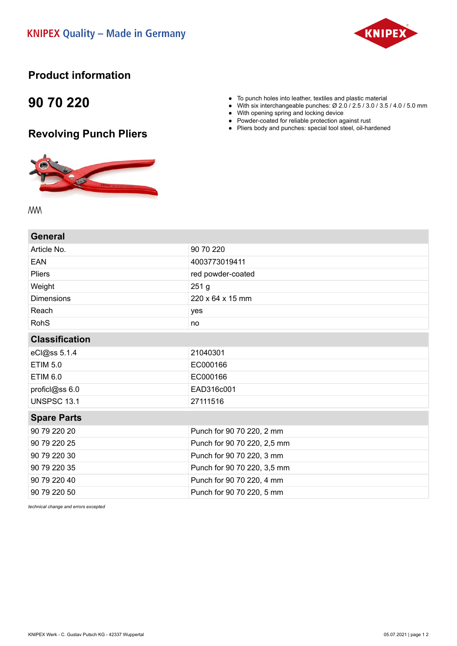

## **Product information**

## **90 70 220**

## **Revolving Punch Pliers**



• To punch holes into leather, textiles and plastic material<br>• With six interchangeable punches:  $\varnothing$  2.0 / 2.5 / 3.0 / 3.5 With six interchangeable punches: Ø 2.0 / 2.5 / 3.0 / 3.5 / 4.0 / 5.0 mm

- With opening spring and locking device
- Powder-coated for reliable protection against rust
- Pliers body and punches: special tool steel, oil-hardened

**MW** 

| 90 70 220                   |  |
|-----------------------------|--|
| 4003773019411               |  |
| red powder-coated           |  |
| 251 <sub>g</sub>            |  |
| 220 x 64 x 15 mm            |  |
| yes                         |  |
| no                          |  |
| <b>Classification</b>       |  |
| 21040301                    |  |
| EC000166                    |  |
| EC000166                    |  |
| EAD316c001                  |  |
| 27111516                    |  |
| <b>Spare Parts</b>          |  |
| Punch for 90 70 220, 2 mm   |  |
| Punch for 90 70 220, 2,5 mm |  |
| Punch for 90 70 220, 3 mm   |  |
| Punch for 90 70 220, 3,5 mm |  |
| Punch for 90 70 220, 4 mm   |  |
| Punch for 90 70 220, 5 mm   |  |
|                             |  |

*technical change and errors excepted*